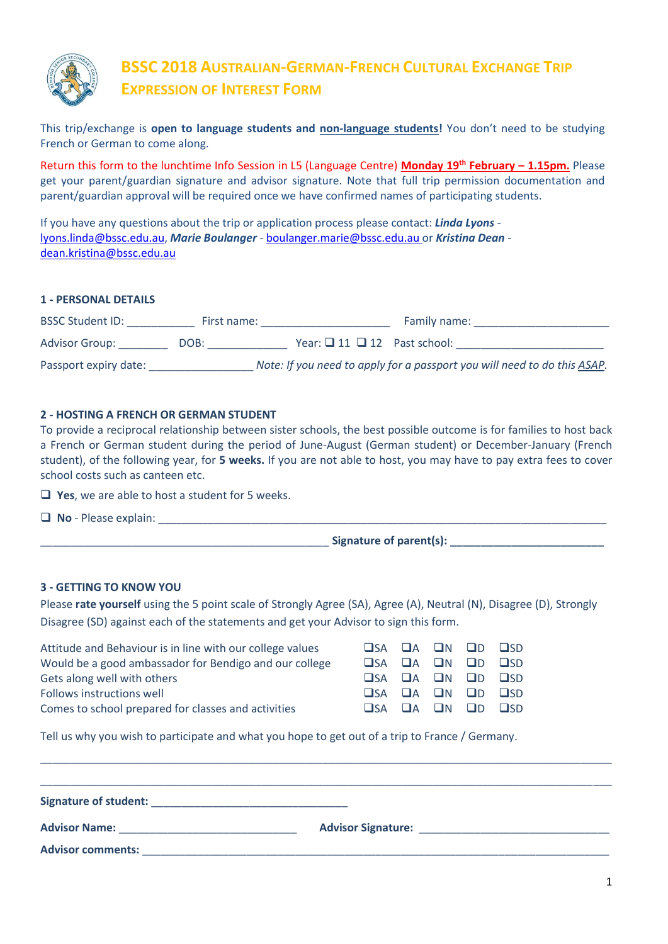

### **BSSC 2018 AUSTRALIAN-GERMAN-FRENCH CULTURAL EXCHANGE TRIP EXPRESSION OF INTEREST FORM**

This trip/exchange is **open to language students and non-language students!** You don't need to be studying French or German to come along.

Return this form to the lunchtime Info Session in L5 (Language Centre) **Monday 19th February – 1.15pm.** Please get your parent/guardian signature and advisor signature. Note that full trip permission documentation and parent/guardian approval will be required once we have confirmed names of participating students.

If you have any questions about the trip or application process please contact: *Linda Lyons* [lyons.linda@bssc.edu.au,](mailto:lyons.linda@bssc.edu.au) *Marie Boulanger* - [boulanger.marie@bssc.edu.au](mailto:boulanger.marie@bssc.edu.au) or *Kristina Dean* [dean.kristina@bssc.edu.au](mailto:dean.kristina@bssc.edu.au)

#### **1 - PERSONAL DETAILS**

| <b>BSSC Student ID:</b> | First name: |                                        | Family name:                                                             |
|-------------------------|-------------|----------------------------------------|--------------------------------------------------------------------------|
| <b>Advisor Group:</b>   | DOB:        | Year: $\Box$ 11 $\Box$ 12 Past school: |                                                                          |
| Passport expiry date:   |             |                                        | Note: If you need to apply for a passport you will need to do this ASAP. |

#### **2 - HOSTING A FRENCH OR GERMAN STUDENT**

To provide a reciprocal relationship between sister schools, the best possible outcome is for families to host back a French or German student during the period of June-August (German student) or December-January (French student), of the following year, for **5 weeks.** If you are not able to host, you may have to pay extra fees to cover school costs such as canteen etc.

**T** Yes, we are able to host a student for 5 weeks.

 $\Box$  **No** - Please explain:

 $Signature of parent(s):$ 

#### **3 - GETTING TO KNOW YOU**

Please **rate yourself** using the 5 point scale of Strongly Agree (SA), Agree (A), Neutral (N), Disagree (D), Strongly Disagree (SD) against each of the statements and get your Advisor to sign this form.

|  |  | $\square$ SA $\square$ A $\square$ N $\square$ D $\square$ SD<br>$\Box$ SA $\Box$ A $\Box$ N $\Box$ D $\Box$ SD<br>$\square$ SA $\square$ A $\square$ N $\square$ D $\square$ SD<br>$\square$ SA $\square$ A $\square$ N $\square$ D $\square$ SD<br>$\square$ SA $\square$ A $\square$ N $\square$ D $\square$ SD |
|--|--|--------------------------------------------------------------------------------------------------------------------------------------------------------------------------------------------------------------------------------------------------------------------------------------------------------------------|

Tell us why you wish to participate and what you hope to get out of a trip to France / Germany.

| Signature of student:                    | <u> 1980 - Johann Stein, fransk politiker (d. 1980)</u> |  |
|------------------------------------------|---------------------------------------------------------|--|
| Advisor Name: <u>___________________</u> |                                                         |  |
| <b>Advisor comments:</b>                 |                                                         |  |

\_\_\_\_\_\_\_\_\_\_\_\_\_\_\_\_\_\_\_\_\_\_\_\_\_\_\_\_\_\_\_\_\_\_\_\_\_\_\_\_\_\_\_\_\_\_\_\_\_\_\_\_\_\_\_\_\_\_\_\_\_\_\_\_\_\_\_\_\_\_\_\_\_\_\_\_\_\_\_\_\_\_\_\_\_\_\_\_\_\_\_\_\_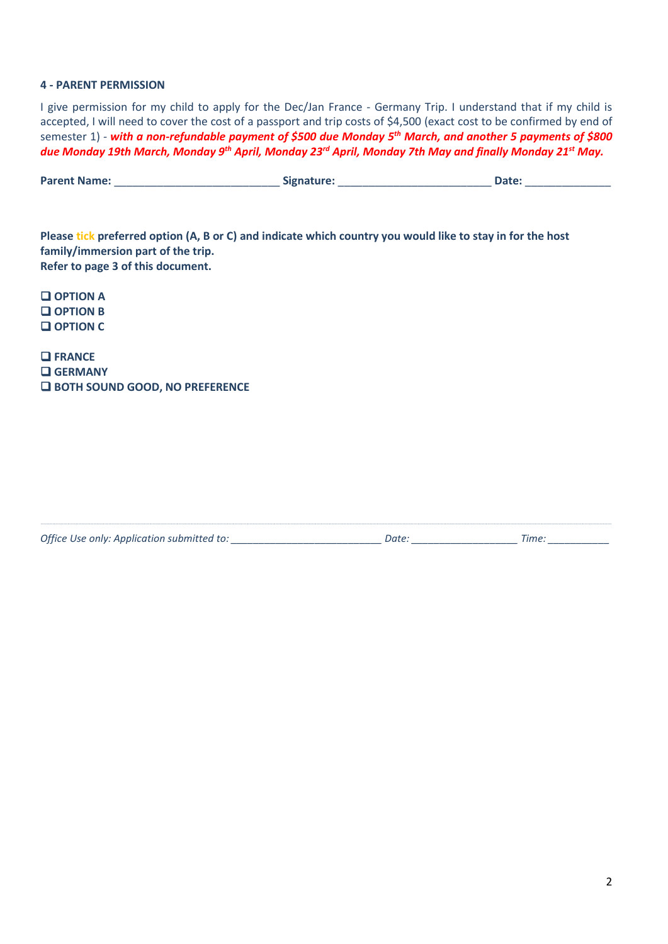#### **4 - PARENT PERMISSION**

I give permission for my child to apply for the Dec/Jan France - Germany Trip. I understand that if my child is accepted, I will need to cover the cost of a passport and trip costs of \$4,500 (exact cost to be confirmed by end of semester 1) *- with a non-refundable payment of \$500 due Monday 5 th March, and another 5 payments of \$800 due Monday 19th March, Monday 9th April, Monday 23rd April, Monday 7th May and finally Monday 21st May.*

|  | <b>Parent Name:</b> | Signature: | <b>Date</b> |
|--|---------------------|------------|-------------|
|--|---------------------|------------|-------------|

**Please tick preferred option (A, B or C) and indicate which country you would like to stay in for the host family/immersion part of the trip. Refer to page 3 of this document.**

 **OPTION A OPTION B OPTION C**

 **FRANCE GERMANY BOTH SOUND GOOD, NO PREFERENCE**

| Office Use only: Application submitted to: |  |  |
|--------------------------------------------|--|--|
|--------------------------------------------|--|--|

*Office Use only: Application submitted to: \_\_\_\_\_\_\_\_\_\_\_\_\_\_\_\_\_\_\_\_\_\_\_\_\_\_\_ Date: \_\_\_\_\_\_\_\_\_\_\_\_\_\_\_\_\_\_\_ Time: \_\_\_\_\_\_\_\_\_\_\_*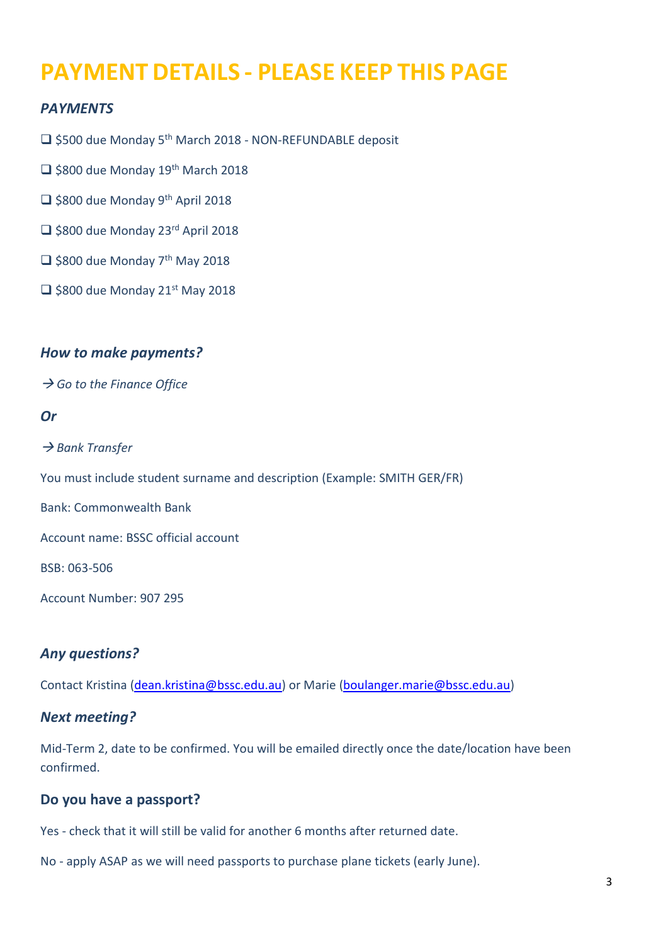## **PAYMENT DETAILS - PLEASE KEEP THIS PAGE**

#### *PAYMENTS*

□ \$500 due Monday 5<sup>th</sup> March 2018 - NON-REFUNDABLE deposit

- $\Box$  \$800 due Monday 19<sup>th</sup> March 2018
- $\Box$  \$800 due Monday 9<sup>th</sup> April 2018
- □ \$800 due Monday 23<sup>rd</sup> April 2018
- $\Box$  \$800 due Monday 7<sup>th</sup> May 2018
- $\Box$  \$800 due Monday 21st May 2018

#### *How to make payments?*

**→ Go to the Finance Office** 

#### *Or*

**→ Bank Transfer** 

You must include student surname and description (Example: SMITH GER/FR)

Bank: Commonwealth Bank

Account name: BSSC official account

BSB: 063-506

Account Number: 907 295

#### *Any questions?*

Contact Kristina [\(dean.kristina@bssc.edu.au\)](mailto:dean.kristina@bssc.edu.au) or Marie [\(boulanger.marie@bssc.edu.au\)](mailto:boulanger.marie@bssc.edu.au)

#### *Next meeting?*

Mid-Term 2, date to be confirmed. You will be emailed directly once the date/location have been confirmed.

#### **Do you have a passport?**

Yes - check that it will still be valid for another 6 months after returned date.

No - apply ASAP as we will need passports to purchase plane tickets (early June).